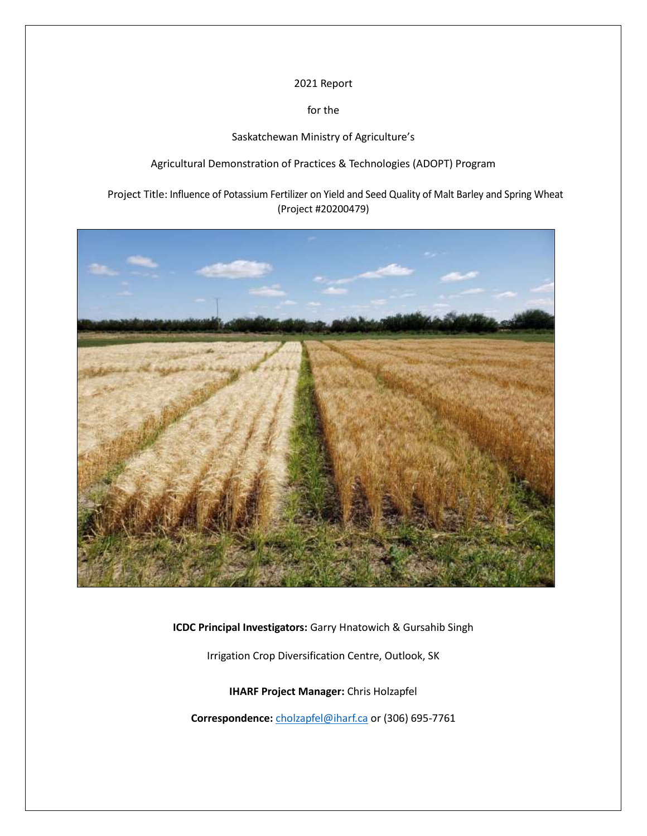#### 2021 Report

for the

Saskatchewan Ministry of Agriculture's

Agricultural Demonstration of Practices & Technologies (ADOPT) Program

Project Title: Influence of Potassium Fertilizer on Yield and Seed Quality of Malt Barley and Spring Wheat (Project #20200479)



**ICDC Principal Investigators:** Garry Hnatowich & Gursahib Singh

Irrigation Crop Diversification Centre, Outlook, SK

**IHARF Project Manager:** Chris Holzapfel

Correspondence: [cholzapfel@iharf.ca](mailto:cholzapfel@iharf.ca) or (306) 695-7761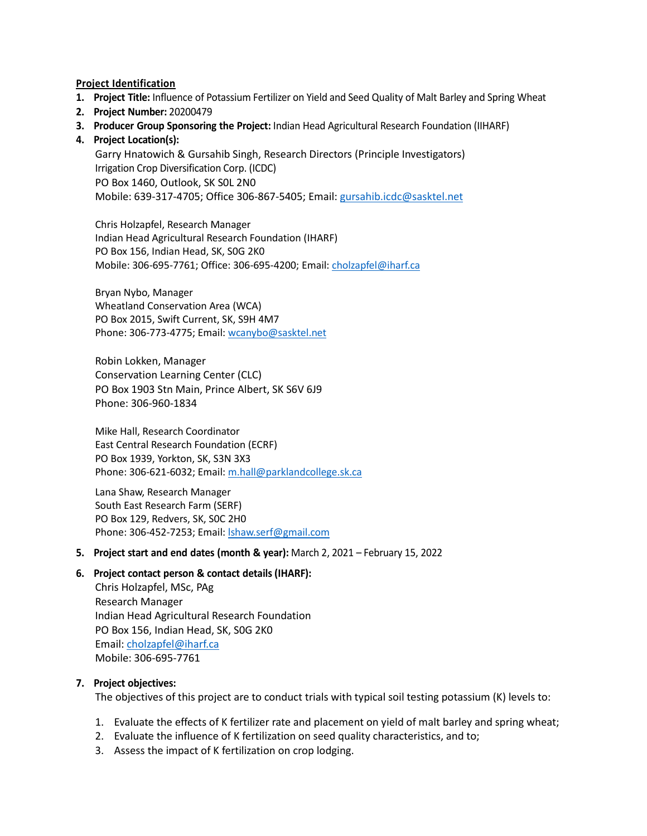#### **Project Identification**

- **1. Project Title:** Influence of Potassium Fertilizer on Yield and Seed Quality of Malt Barley and Spring Wheat
- **2. Project Number:** 20200479
- **3. Producer Group Sponsoring the Project:** Indian Head Agricultural Research Foundation (IIHARF)

#### **4. Project Location(s):**

Garry Hnatowich & Gursahib Singh, Research Directors (Principle Investigators) Irrigation Crop Diversification Corp. (ICDC) PO Box 1460, Outlook, SK S0L 2N0 Mobile: 639-317-4705; Office 306-867-5405; Email[: gursahib.icdc@sasktel.net](mailto:gursahib.icdc@sasktel.net)

Chris Holzapfel, Research Manager Indian Head Agricultural Research Foundation (IHARF) PO Box 156, Indian Head, SK, S0G 2K0 Mobile: 306-695-7761; Office: 306-695-4200; Email: [cholzapfel@iharf.ca](mailto:cholzapfel@iharf.ca)

Bryan Nybo, Manager Wheatland Conservation Area (WCA) PO Box 2015, Swift Current, SK, S9H 4M7 Phone: 306-773-4775; Email: [wcanybo@sasktel.net](mailto:wcanybo@sasktel.net)

Robin Lokken, Manager Conservation Learning Center (CLC) PO Box 1903 Stn Main, Prince Albert, SK S6V 6J9 Phone: 306-960-1834

Mike Hall, Research Coordinator East Central Research Foundation (ECRF) PO Box 1939, Yorkton, SK, S3N 3X3 Phone: 306-621-6032; Email: [m.hall@parklandcollege.sk.ca](mailto:m.hall@parklandcollege.sk.ca)

Lana Shaw, Research Manager South East Research Farm (SERF) PO Box 129, Redvers, SK, S0C 2H0 Phone: 306-452-7253; Email: [lshaw.serf@gmail.com](mailto:lshaw.serf@gmail.com)

#### **5. Project start and end dates (month & year):** March 2, 2021 – February 15, 2022

#### **6. Project contact person & contact details (IHARF):**

Chris Holzapfel, MSc, PAg Research Manager Indian Head Agricultural Research Foundation PO Box 156, Indian Head, SK, S0G 2K0 Email: [cholzapfel@iharf.ca](mailto:cholzapfel@iharf.ca) Mobile: 306-695-7761

# **7. Project objectives:**

The objectives of this project are to conduct trials with typical soil testing potassium (K) levels to:

- 1. Evaluate the effects of K fertilizer rate and placement on yield of malt barley and spring wheat;
- 2. Evaluate the influence of K fertilization on seed quality characteristics, and to;
- 3. Assess the impact of K fertilization on crop lodging.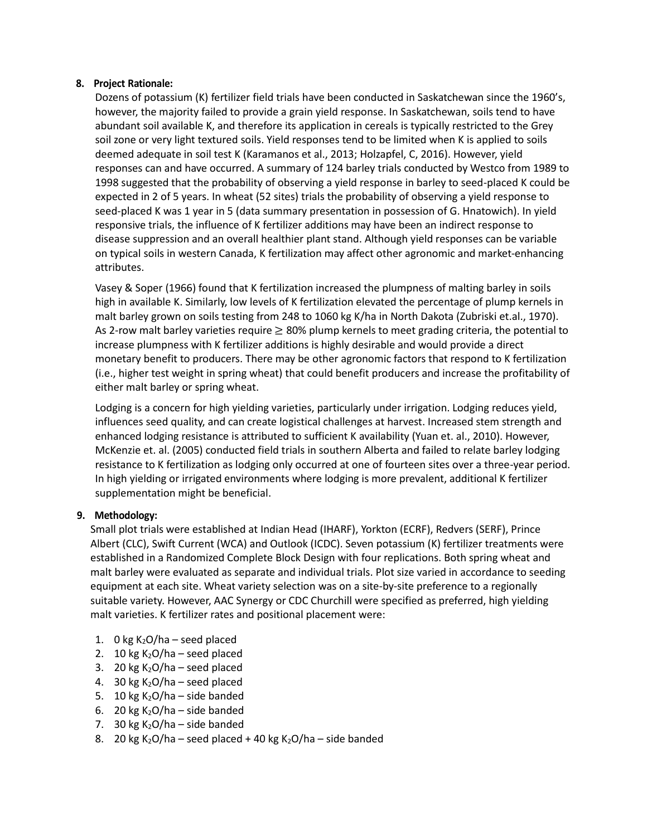# **8. Project Rationale:**

Dozens of potassium (K) fertilizer field trials have been conducted in Saskatchewan since the 1960's, however, the majority failed to provide a grain yield response. In Saskatchewan, soils tend to have abundant soil available K, and therefore its application in cereals is typically restricted to the Grey soil zone or very light textured soils. Yield responses tend to be limited when K is applied to soils deemed adequate in soil test K (Karamanos et al., 2013; Holzapfel, C, 2016). However, yield responses can and have occurred. A summary of 124 barley trials conducted by Westco from 1989 to 1998 suggested that the probability of observing a yield response in barley to seed-placed K could be expected in 2 of 5 years. In wheat (52 sites) trials the probability of observing a yield response to seed-placed K was 1 year in 5 (data summary presentation in possession of G. Hnatowich). In yield responsive trials, the influence of K fertilizer additions may have been an indirect response to disease suppression and an overall healthier plant stand. Although yield responses can be variable on typical soils in western Canada, K fertilization may affect other agronomic and market-enhancing attributes.

Vasey & Soper (1966) found that K fertilization increased the plumpness of malting barley in soils high in available K. Similarly, low levels of K fertilization elevated the percentage of plump kernels in malt barley grown on soils testing from 248 to 1060 kg K/ha in North Dakota (Zubriski et.al., 1970). As 2-row malt barley varieties require  $\geq 80\%$  plump kernels to meet grading criteria, the potential to increase plumpness with K fertilizer additions is highly desirable and would provide a direct monetary benefit to producers. There may be other agronomic factors that respond to K fertilization (i.e., higher test weight in spring wheat) that could benefit producers and increase the profitability of either malt barley or spring wheat.

Lodging is a concern for high yielding varieties, particularly under irrigation. Lodging reduces yield, influences seed quality, and can create logistical challenges at harvest. Increased stem strength and enhanced lodging resistance is attributed to sufficient K availability (Yuan et. al., 2010). However, McKenzie et. al. (2005) conducted field trials in southern Alberta and failed to relate barley lodging resistance to K fertilization as lodging only occurred at one of fourteen sites over a three-year period. In high yielding or irrigated environments where lodging is more prevalent, additional K fertilizer supplementation might be beneficial.

# **9. Methodology:**

Small plot trials were established at Indian Head (IHARF), Yorkton (ECRF), Redvers (SERF), Prince Albert (CLC), Swift Current (WCA) and Outlook (ICDC). Seven potassium (K) fertilizer treatments were established in a Randomized Complete Block Design with four replications. Both spring wheat and malt barley were evaluated as separate and individual trials. Plot size varied in accordance to seeding equipment at each site. Wheat variety selection was on a site-by-site preference to a regionally suitable variety. However, AAC Synergy or CDC Churchill were specified as preferred, high yielding malt varieties. K fertilizer rates and positional placement were:

- 1. 0 kg  $K_2O/ha$  seed placed
- 2. 10 kg  $K_2O/ha$  seed placed
- 3. 20 kg  $K_2O/ha$  seed placed
- 4. 30 kg  $K<sub>2</sub>O/ha$  seed placed
- 5. 10 kg  $K_2O/ha$  side banded
- 6. 20 kg  $K<sub>2</sub>O/ha$  side banded
- 7. 30 kg  $K<sub>2</sub>O/ha$  side banded
- 8. 20 kg K<sub>2</sub>O/ha seed placed + 40 kg K<sub>2</sub>O/ha side banded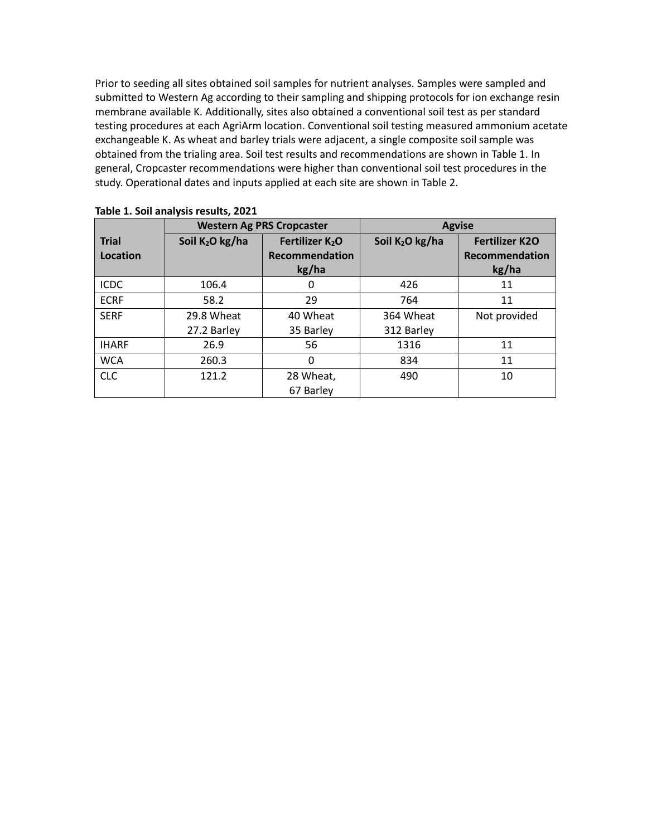Prior to seeding all sites obtained soil samples for nutrient analyses. Samples were sampled and submitted to Western Ag according to their sampling and shipping protocols for ion exchange resin membrane available K. Additionally, sites also obtained a conventional soil test as per standard testing procedures at each AgriArm location. Conventional soil testing measured ammonium acetate exchangeable K. As wheat and barley trials were adjacent, a single composite soil sample was obtained from the trialing area. Soil test results and recommendations are shown in Table 1. In general, Cropcaster recommendations were higher than conventional soil test procedures in the study. Operational dates and inputs applied at each site are shown in Table 2.

|              |                   | <b>Western Ag PRS Cropcaster</b> |                             | <b>Agvise</b>         |
|--------------|-------------------|----------------------------------|-----------------------------|-----------------------|
| <b>Trial</b> | Soil $K_2O$ kg/ha | Fertilizer K <sub>2</sub> O      | Soil K <sub>2</sub> O kg/ha | <b>Fertilizer K2O</b> |
| Location     |                   | <b>Recommendation</b>            |                             | Recommendation        |
|              |                   | kg/ha                            |                             | kg/ha                 |
| <b>ICDC</b>  | 106.4             | 0                                | 426                         | 11                    |
| <b>ECRF</b>  | 58.2              | 29                               | 764                         | 11                    |
| <b>SERF</b>  | 29.8 Wheat        | 40 Wheat                         | 364 Wheat                   | Not provided          |
|              | 27.2 Barley       | 35 Barley                        | 312 Barley                  |                       |
| <b>IHARF</b> | 26.9              | 56                               | 1316                        | 11                    |
| <b>WCA</b>   | 260.3             | 0                                | 834                         | 11                    |
| <b>CLC</b>   | 121.2             | 28 Wheat,                        | 490                         | 10                    |
|              |                   | 67 Barley                        |                             |                       |

|  |  | Table 1. Soil analysis results, 2021 |  |  |
|--|--|--------------------------------------|--|--|
|--|--|--------------------------------------|--|--|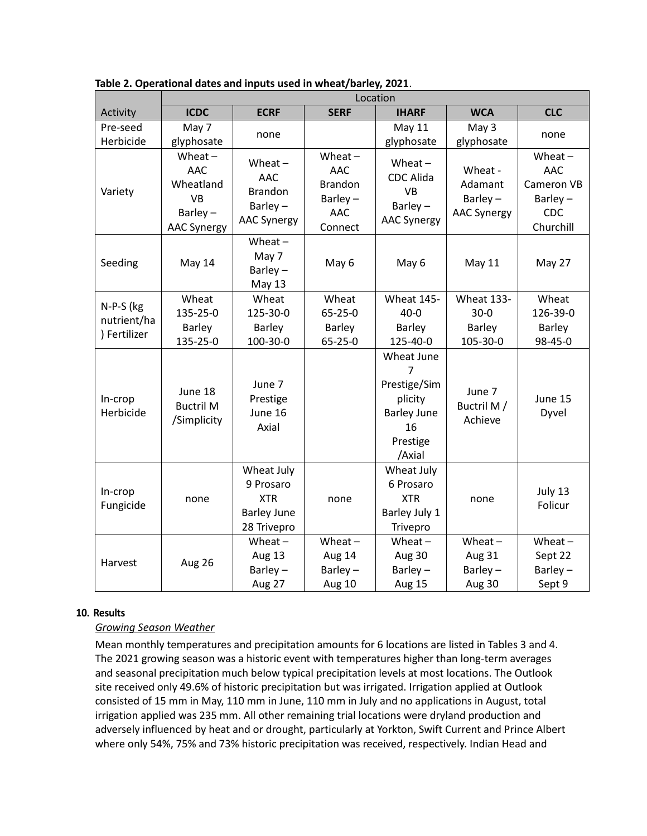|                      | Location                                                                              |                                                                               |                                                                        |                                                                                                           |                                                        |                                                                                |  |
|----------------------|---------------------------------------------------------------------------------------|-------------------------------------------------------------------------------|------------------------------------------------------------------------|-----------------------------------------------------------------------------------------------------------|--------------------------------------------------------|--------------------------------------------------------------------------------|--|
| Activity             | <b>ICDC</b>                                                                           | <b>ECRF</b>                                                                   | <b>SERF</b>                                                            | <b>IHARF</b>                                                                                              | <b>WCA</b>                                             | <b>CLC</b>                                                                     |  |
| Pre-seed             | May 7                                                                                 | none                                                                          |                                                                        | <b>May 11</b>                                                                                             | May 3                                                  | none                                                                           |  |
| Herbicide            | glyphosate                                                                            |                                                                               |                                                                        | glyphosate                                                                                                | glyphosate                                             |                                                                                |  |
| Variety              | Wheat $-$<br><b>AAC</b><br>Wheatland<br><b>VB</b><br>Barley $-$<br><b>AAC Synergy</b> | Wheat $-$<br><b>AAC</b><br><b>Brandon</b><br>Barley $-$<br><b>AAC Synergy</b> | Wheat $-$<br><b>AAC</b><br><b>Brandon</b><br>Barley-<br>AAC<br>Connect | Wheat $-$<br><b>CDC Alida</b><br><b>VB</b><br>Barley $-$<br><b>AAC Synergy</b>                            | Wheat -<br>Adamant<br>Barley $-$<br><b>AAC Synergy</b> | Wheat $-$<br><b>AAC</b><br>Cameron VB<br>Barley $-$<br><b>CDC</b><br>Churchill |  |
| Seeding              | May 14                                                                                | Wheat $-$<br>May 7<br>Barley-<br>May 13                                       | May 6                                                                  | May 6                                                                                                     | May 11                                                 | May 27                                                                         |  |
| N-P-S (kg            | Wheat                                                                                 | Wheat                                                                         | Wheat                                                                  | <b>Wheat 145-</b>                                                                                         | <b>Wheat 133-</b>                                      | Wheat                                                                          |  |
| nutrient/ha          | 135-25-0                                                                              | 125-30-0                                                                      | $65 - 25 - 0$                                                          | $40 - 0$                                                                                                  | $30 - 0$                                               | 126-39-0                                                                       |  |
| ) Fertilizer         | Barley                                                                                | <b>Barley</b>                                                                 | Barley                                                                 | <b>Barley</b>                                                                                             | <b>Barley</b>                                          | <b>Barley</b>                                                                  |  |
|                      | 135-25-0                                                                              | 100-30-0                                                                      | $65 - 25 - 0$                                                          | 125-40-0                                                                                                  | 105-30-0                                               | 98-45-0                                                                        |  |
| In-crop<br>Herbicide | June 18<br><b>Buctril M</b><br>/Simplicity                                            | June 7<br>Prestige<br>June 16<br>Axial                                        |                                                                        | Wheat June<br>$\overline{7}$<br>Prestige/Sim<br>plicity<br><b>Barley June</b><br>16<br>Prestige<br>/Axial | June 7<br>Buctril M /<br>Achieve                       | June 15<br>Dyvel                                                               |  |
| In-crop<br>Fungicide | none                                                                                  | Wheat July<br>9 Prosaro<br><b>XTR</b><br><b>Barley June</b><br>28 Trivepro    | none                                                                   | Wheat July<br>6 Prosaro<br><b>XTR</b><br>Barley July 1<br>Trivepro                                        | none                                                   | July 13<br>Folicur                                                             |  |
|                      |                                                                                       | Wheat $-$                                                                     | $Wheat -$                                                              | $Wheat -$                                                                                                 | Wheat $-$                                              | $Wheat -$                                                                      |  |
| Harvest              |                                                                                       | Aug 13                                                                        | Aug 14                                                                 | Aug 30                                                                                                    | Aug 31                                                 | Sept 22                                                                        |  |
|                      | Aug 26                                                                                | Barley-                                                                       | Barley-                                                                | Barley-                                                                                                   | Barley-                                                | Barley $-$                                                                     |  |
|                      |                                                                                       | Aug 27                                                                        | Aug 10                                                                 | Aug 15                                                                                                    | Aug 30                                                 | Sept 9                                                                         |  |

**Table 2. Operational dates and inputs used in wheat/barley, 2021**.

# **10. Results**

# *Growing Season Weather*

Mean monthly temperatures and precipitation amounts for 6 locations are listed in Tables 3 and 4. The 2021 growing season was a historic event with temperatures higher than long-term averages and seasonal precipitation much below typical precipitation levels at most locations. The Outlook site received only 49.6% of historic precipitation but was irrigated. Irrigation applied at Outlook consisted of 15 mm in May, 110 mm in June, 110 mm in July and no applications in August, total irrigation applied was 235 mm. All other remaining trial locations were dryland production and adversely influenced by heat and or drought, particularly at Yorkton, Swift Current and Prince Albert where only 54%, 75% and 73% historic precipitation was received, respectively. Indian Head and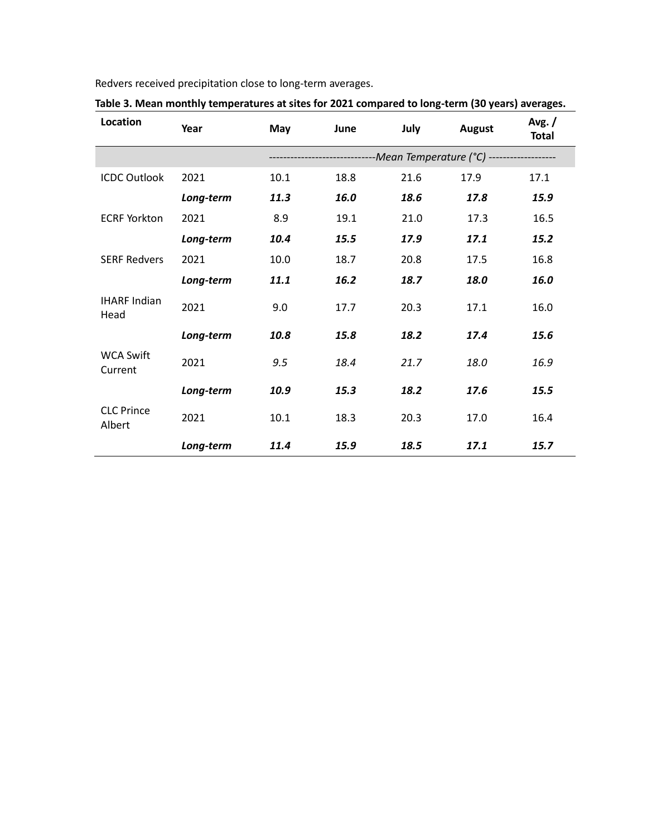Redvers received precipitation close to long-term averages.

| Location                    | Year      | May  | June | July | August                                                                | Avg./<br><b>Total</b> |
|-----------------------------|-----------|------|------|------|-----------------------------------------------------------------------|-----------------------|
|                             |           |      |      |      | ----------------------------Mean Temperature (°C) ------------------- |                       |
| <b>ICDC Outlook</b>         | 2021      | 10.1 | 18.8 | 21.6 | 17.9                                                                  | 17.1                  |
|                             | Long-term | 11.3 | 16.0 | 18.6 | 17.8                                                                  | 15.9                  |
| <b>ECRF Yorkton</b>         | 2021      | 8.9  | 19.1 | 21.0 | 17.3                                                                  | 16.5                  |
|                             | Long-term | 10.4 | 15.5 | 17.9 | 17.1                                                                  | 15.2                  |
| <b>SERF Redvers</b>         | 2021      | 10.0 | 18.7 | 20.8 | 17.5                                                                  | 16.8                  |
|                             | Long-term | 11.1 | 16.2 | 18.7 | 18.0                                                                  | 16.0                  |
| <b>IHARF Indian</b><br>Head | 2021      | 9.0  | 17.7 | 20.3 | 17.1                                                                  | 16.0                  |
|                             | Long-term | 10.8 | 15.8 | 18.2 | 17.4                                                                  | 15.6                  |
| <b>WCA Swift</b><br>Current | 2021      | 9.5  | 18.4 | 21.7 | 18.0                                                                  | 16.9                  |
|                             | Long-term | 10.9 | 15.3 | 18.2 | 17.6                                                                  | 15.5                  |
| <b>CLC Prince</b><br>Albert | 2021      | 10.1 | 18.3 | 20.3 | 17.0                                                                  | 16.4                  |
|                             | Long-term | 11.4 | 15.9 | 18.5 | 17.1                                                                  | 15.7                  |

**Table 3. Mean monthly temperatures at sites for 2021 compared to long-term (30 years) averages.**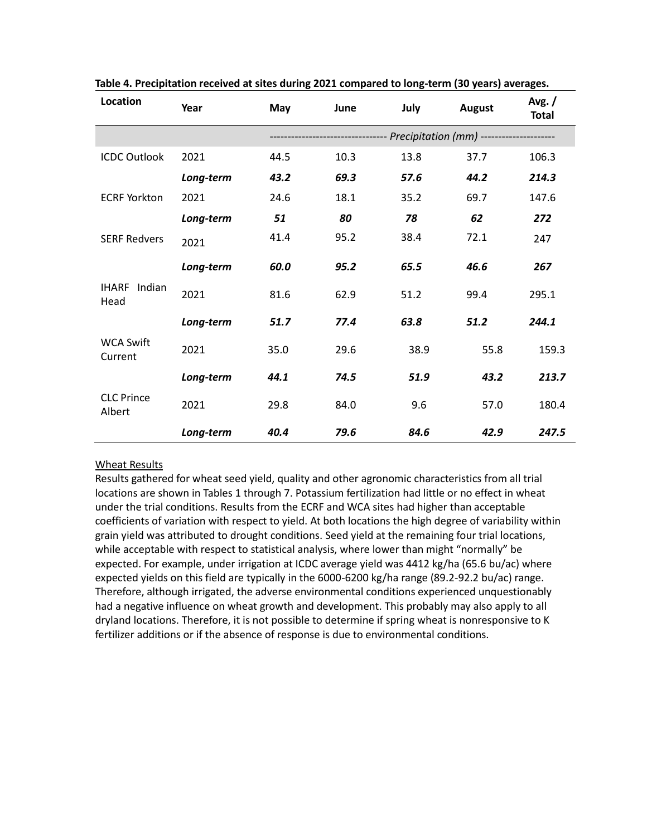| Location                       | Year      | May  | June | July | <b>August</b>                                            | Avg./<br><b>Total</b> |
|--------------------------------|-----------|------|------|------|----------------------------------------------------------|-----------------------|
|                                |           |      |      |      | --------------- Precipitation (mm) --------------------- |                       |
| <b>ICDC Outlook</b>            | 2021      | 44.5 | 10.3 | 13.8 | 37.7                                                     | 106.3                 |
|                                | Long-term | 43.2 | 69.3 | 57.6 | 44.2                                                     | 214.3                 |
| <b>ECRF Yorkton</b>            | 2021      | 24.6 | 18.1 | 35.2 | 69.7                                                     | 147.6                 |
|                                | Long-term | 51   | 80   | 78   | 62                                                       | 272                   |
| <b>SERF Redvers</b>            | 2021      | 41.4 | 95.2 | 38.4 | 72.1                                                     | 247                   |
|                                | Long-term | 60.0 | 95.2 | 65.5 | 46.6                                                     | 267                   |
| <b>IHARF</b><br>Indian<br>Head | 2021      | 81.6 | 62.9 | 51.2 | 99.4                                                     | 295.1                 |
|                                | Long-term | 51.7 | 77.4 | 63.8 | 51.2                                                     | 244.1                 |
| <b>WCA Swift</b><br>Current    | 2021      | 35.0 | 29.6 | 38.9 | 55.8                                                     | 159.3                 |
|                                | Long-term | 44.1 | 74.5 | 51.9 | 43.2                                                     | 213.7                 |
| <b>CLC Prince</b><br>Albert    | 2021      | 29.8 | 84.0 | 9.6  | 57.0                                                     | 180.4                 |
|                                | Long-term | 40.4 | 79.6 | 84.6 | 42.9                                                     | 247.5                 |

**Table 4. Precipitation received at sites during 2021 compared to long-term (30 years) averages.**

# Wheat Results

Results gathered for wheat seed yield, quality and other agronomic characteristics from all trial locations are shown in Tables 1 through 7. Potassium fertilization had little or no effect in wheat under the trial conditions. Results from the ECRF and WCA sites had higher than acceptable coefficients of variation with respect to yield. At both locations the high degree of variability within grain yield was attributed to drought conditions. Seed yield at the remaining four trial locations, while acceptable with respect to statistical analysis, where lower than might "normally" be expected. For example, under irrigation at ICDC average yield was 4412 kg/ha (65.6 bu/ac) where expected yields on this field are typically in the 6000-6200 kg/ha range (89.2-92.2 bu/ac) range. Therefore, although irrigated, the adverse environmental conditions experienced unquestionably had a negative influence on wheat growth and development. This probably may also apply to all dryland locations. Therefore, it is not possible to determine if spring wheat is nonresponsive to K fertilizer additions or if the absence of response is due to environmental conditions.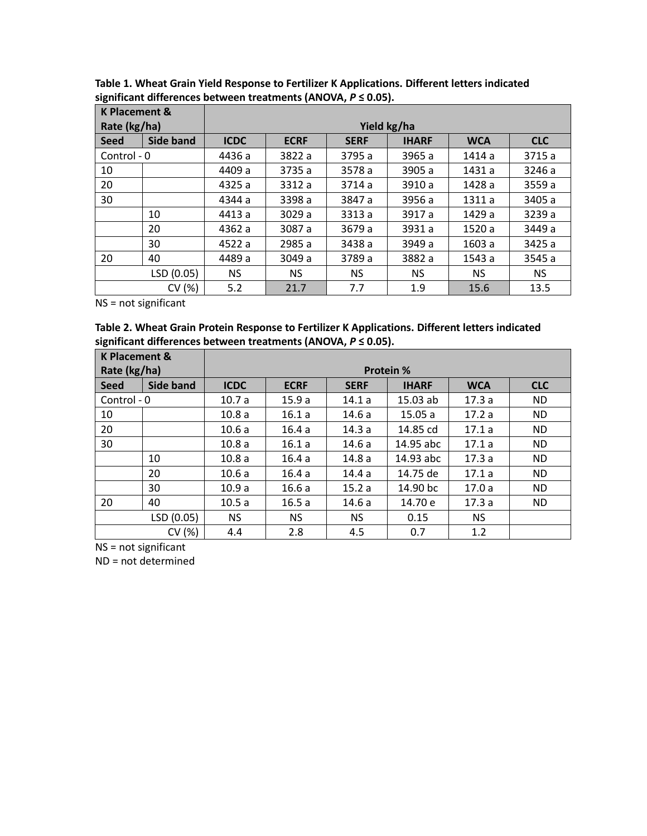| <b>K Placement &amp;</b> |                  |             |             |             |              |            |            |  |
|--------------------------|------------------|-------------|-------------|-------------|--------------|------------|------------|--|
| Rate (kg/ha)             |                  | Yield kg/ha |             |             |              |            |            |  |
| <b>Seed</b>              | <b>Side band</b> | <b>ICDC</b> | <b>ECRF</b> | <b>SERF</b> | <b>IHARF</b> | <b>WCA</b> | <b>CLC</b> |  |
| Control - 0              |                  | 4436 a      | 3822 a      | 3795 a      | 3965 a       | 1414 a     | 3715 a     |  |
| 10                       |                  | 4409 a      | 3735 a      | 3578 a      | 3905 a       | 1431 a     | 3246 a     |  |
| 20                       |                  | 4325 a      | 3312 a      | 3714a       | 3910 a       | 1428 a     | 3559 a     |  |
| 30                       |                  | 4344 a      | 3398 a      | 3847 a      | 3956 a       | 1311 a     | 3405 a     |  |
|                          | 10               | 4413 a      | 3029 a      | 3313 a      | 3917 a       | 1429 a     | 3239 a     |  |
|                          | 20               | 4362 a      | 3087 a      | 3679 a      | 3931 a       | 1520 a     | 3449 a     |  |
|                          | 30               | 4522 a      | 2985 a      | 3438 a      | 3949 a       | 1603 a     | 3425 a     |  |
| 20                       | 40               | 4489 a      | 3049 a      | 3789 a      | 3882 a       | 1543 a     | 3545 a     |  |
|                          | LSD (0.05)       | NS.         | NS.         | NS.         | NS.          | NS.        | NS.        |  |
|                          | CV (%)           | 5.2         | 21.7        | 7.7         | 1.9          | 15.6       | 13.5       |  |

**Table 1. Wheat Grain Yield Response to Fertilizer K Applications. Different letters indicated significant differences between treatments (ANOVA,** *P* **≤ 0.05).**

**Table 2. Wheat Grain Protein Response to Fertilizer K Applications. Different letters indicated significant differences between treatments (ANOVA,** *P* **≤ 0.05).**

| <b>K Placement &amp;</b> |                  |                  |             |             |              |            |            |  |
|--------------------------|------------------|------------------|-------------|-------------|--------------|------------|------------|--|
| Rate (kg/ha)             |                  | <b>Protein %</b> |             |             |              |            |            |  |
| <b>Seed</b>              | <b>Side band</b> | <b>ICDC</b>      | <b>ECRF</b> | <b>SERF</b> | <b>IHARF</b> | <b>WCA</b> | <b>CLC</b> |  |
| Control - 0              |                  | 10.7a            | 15.9a       | 14.1a       | $15.03$ ab   | 17.3a      | <b>ND</b>  |  |
| 10                       |                  | 10.8a            | 16.1a       | 14.6 a      | 15.05a       | 17.2a      | <b>ND</b>  |  |
| 20                       |                  | 10.6a            | 16.4a       | 14.3 a      | 14.85 cd     | 17.1a      | <b>ND</b>  |  |
| 30                       |                  | 10.8a            | 16.1a       | 14.6 a      | 14.95 abc    | 17.1a      | <b>ND</b>  |  |
|                          | 10               | 10.8a            | 16.4a       | 14.8a       | 14.93 abc    | 17.3a      | <b>ND</b>  |  |
|                          | 20               | 10.6a            | 16.4a       | 14.4a       | 14.75 de     | 17.1a      | <b>ND</b>  |  |
|                          | 30               | 10.9a            | 16.6a       | 15.2a       | 14.90 bc     | 17.0a      | <b>ND</b>  |  |
| 20                       | 40               | 10.5a            | 16.5a       | 14.6a       | 14.70 e      | 17.3a      | ND.        |  |
|                          | LSD (0.05)       | <b>NS</b>        | <b>NS</b>   | <b>NS</b>   | 0.15         | <b>NS</b>  |            |  |
|                          | CV (%)           | 4.4              | 2.8         | 4.5         | 0.7          | 1.2        |            |  |

NS = not significant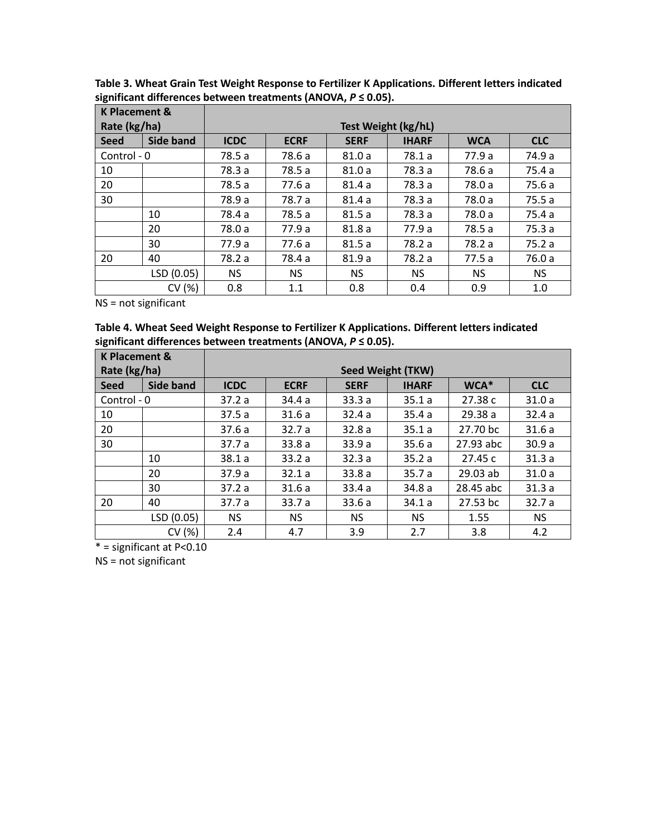| <b>K Placement &amp;</b> |                  |                     |             |             |              |            |            |
|--------------------------|------------------|---------------------|-------------|-------------|--------------|------------|------------|
| Rate (kg/ha)             |                  | Test Weight (kg/hL) |             |             |              |            |            |
| <b>Seed</b>              | <b>Side band</b> | <b>ICDC</b>         | <b>ECRF</b> | <b>SERF</b> | <b>IHARF</b> | <b>WCA</b> | <b>CLC</b> |
| Control - 0              |                  | 78.5 a              | 78.6 a      | 81.0a       | 78.1 a       | 77.9 a     | 74.9 a     |
| 10                       |                  | 78.3 a              | 78.5 a      | 81.0a       | 78.3 a       | 78.6 a     | 75.4 a     |
| 20                       |                  | 78.5 a              | 77.6 a      | 81.4a       | 78.3 a       | 78.0 a     | 75.6 a     |
| 30                       |                  | 78.9 a              | 78.7 a      | 81.4a       | 78.3 a       | 78.0 a     | 75.5a      |
|                          | 10               | 78.4 a              | 78.5 a      | 81.5a       | 78.3 a       | 78.0 a     | 75.4 a     |
|                          | 20               | 78.0 a              | 77.9 a      | 81.8a       | 77.9 a       | 78.5 a     | 75.3a      |
|                          | 30               | 77.9 a              | 77.6 a      | 81.5a       | 78.2 a       | 78.2 a     | 75.2a      |
| 20                       | 40               | 78.2 a              | 78.4 a      | 81.9a       | 78.2 a       | 77.5a      | 76.0 a     |
|                          | LSD (0.05)       | NS.                 | <b>NS</b>   | NS.         | NS.          | NS.        | <b>NS</b>  |
|                          | CV (%)           | 0.8                 | 1.1         | 0.8         | 0.4          | 0.9        | 1.0        |

**Table 3. Wheat Grain Test Weight Response to Fertilizer K Applications. Different letters indicated significant differences between treatments (ANOVA,** *P* **≤ 0.05).**

**Table 4. Wheat Seed Weight Response to Fertilizer K Applications. Different letters indicated significant differences between treatments (ANOVA,** *P* **≤ 0.05).**

| <b>K Placement &amp;</b> |                  |                          |             |             |              |           |            |  |
|--------------------------|------------------|--------------------------|-------------|-------------|--------------|-----------|------------|--|
| Rate (kg/ha)             |                  | <b>Seed Weight (TKW)</b> |             |             |              |           |            |  |
| <b>Seed</b>              | <b>Side band</b> | <b>ICDC</b>              | <b>ECRF</b> | <b>SERF</b> | <b>IHARF</b> | WCA*      | <b>CLC</b> |  |
| Control - 0              |                  | 37.2a                    | 34.4a       | 33.3a       | 35.1a        | 27.38 c   | 31.0a      |  |
| 10                       |                  | 37.5a                    | 31.6a       | 32.4a       | 35.4a        | 29.38 a   | 32.4a      |  |
| 20                       |                  | 37.6 a                   | 32.7a       | 32.8a       | 35.1a        | 27.70 bc  | 31.6a      |  |
| 30                       |                  | 37.7a                    | 33.8a       | 33.9 a      | 35.6a        | 27.93 abc | 30.9a      |  |
|                          | 10               | 38.1a                    | 33.2a       | 32.3a       | 35.2a        | 27.45 c   | 31.3a      |  |
|                          | 20               | 37.9a                    | 32.1a       | 33.8a       | 35.7a        | 29.03 ab  | 31.0a      |  |
|                          | 30               | 37.2a                    | 31.6a       | 33.4a       | 34.8 a       | 28.45 abc | 31.3a      |  |
| 20                       | 40               | 37.7 a                   | 33.7a       | 33.6a       | 34.1a        | 27.53 bc  | 32.7a      |  |
|                          | LSD (0.05)       | <b>NS</b>                | <b>NS</b>   | <b>NS</b>   | <b>NS</b>    | 1.55      | <b>NS</b>  |  |
|                          | CV (%)           | 2.4                      | 4.7         | 3.9         | 2.7          | 3.8       | 4.2        |  |

 $* =$  significant at P<0.10

NS = not significant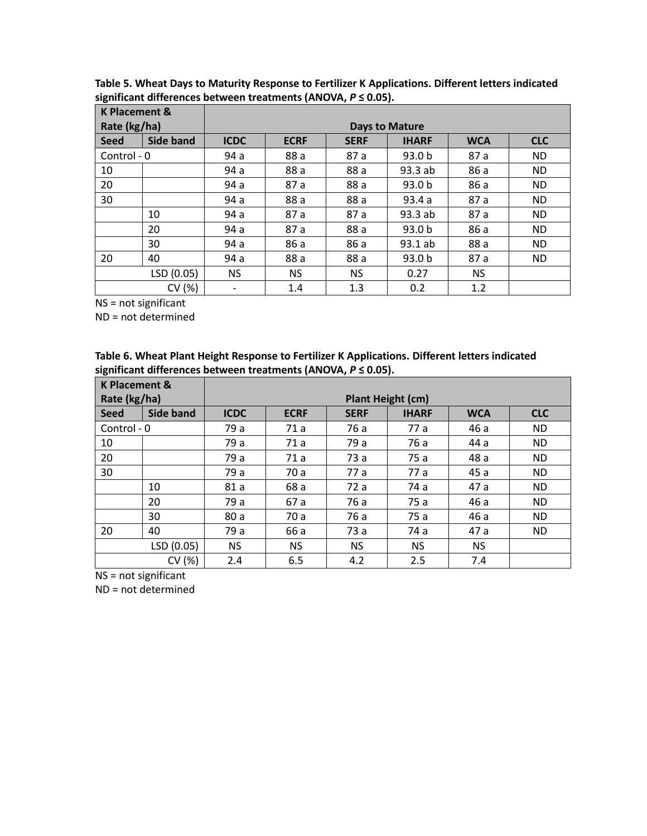| <b>K Placement &amp;</b> |                  |                          |             |             |                   |            |            |
|--------------------------|------------------|--------------------------|-------------|-------------|-------------------|------------|------------|
| Rate (kg/ha)             |                  | <b>Days to Mature</b>    |             |             |                   |            |            |
| <b>Seed</b>              | <b>Side band</b> | <b>ICDC</b>              | <b>ECRF</b> | <b>SERF</b> | <b>IHARF</b>      | <b>WCA</b> | <b>CLC</b> |
| Control - 0              |                  | 94 a                     | 88 a        | 87 a        | 93.0 <sub>b</sub> | 87 a       | <b>ND</b>  |
| 10                       |                  | 94 a                     | 88 a        | 88 a        | 93.3 ab           | 86 a       | <b>ND</b>  |
| 20                       |                  | 94 a                     | 87 a        | 88 a        | 93.0 <sub>b</sub> | 86 a       | <b>ND</b>  |
| 30                       |                  | 94 a                     | 88 a        | 88 a        | 93.4a             | 87 a       | <b>ND</b>  |
|                          | 10               | 94 a                     | 87 a        | 87 a        | 93.3 ab           | 87 a       | <b>ND</b>  |
|                          | 20               | 94 a                     | 87 a        | 88 a        | 93.0 <sub>b</sub> | 86 a       | <b>ND</b>  |
|                          | 30               | 94 a                     | 86 a        | 86 a        | 93.1ab            | 88 a       | <b>ND</b>  |
| 20                       | 40               | 94 a                     | 88 a        | 88 a        | 93.0 b            | 87 a       | <b>ND</b>  |
|                          | LSD (0.05)       | <b>NS</b>                | <b>NS</b>   | <b>NS</b>   | 0.27              | <b>NS</b>  |            |
|                          | CV (%)           | $\overline{\phantom{a}}$ | 1.4         | 1.3         | 0.2               | 1.2        |            |

**Table 5. Wheat Days to Maturity Response to Fertilizer K Applications. Different letters indicated significant differences between treatments (ANOVA,** *P* **≤ 0.05).**

ND = not determined

| Table 6. Wheat Plant Height Response to Fertilizer K Applications. Different letters indicated |
|------------------------------------------------------------------------------------------------|
| significant differences between treatments (ANOVA, $P \le 0.05$ ).                             |

| <b>K Placement &amp;</b> |                                          |             |             |             |              |            |            |
|--------------------------|------------------------------------------|-------------|-------------|-------------|--------------|------------|------------|
|                          | Rate (kg/ha)<br><b>Plant Height (cm)</b> |             |             |             |              |            |            |
| <b>Seed</b>              | <b>Side band</b>                         | <b>ICDC</b> | <b>ECRF</b> | <b>SERF</b> | <b>IHARF</b> | <b>WCA</b> | <b>CLC</b> |
| Control - 0              |                                          | 79 a        | 71 a        | 76 a        | 77 a         | 46 a       | <b>ND</b>  |
| 10                       |                                          | 79 a        | 71 a        | 79 a        | 76 a         | 44 a       | <b>ND</b>  |
| 20                       |                                          | 79 a        | 71 a        | 73 a        | 75 a         | 48 a       | <b>ND</b>  |
| 30                       |                                          | 79 a        | 70 a        | 77 a        | 77 a         | 45 a       | <b>ND</b>  |
|                          | 10                                       | 81 a        | 68 a        | 72 a        | 74 a         | 47 a       | <b>ND</b>  |
|                          | 20                                       | 79 a        | 67 a        | 76 a        | 75 a         | 46 a       | <b>ND</b>  |
|                          | 30                                       | 80 a        | 70 a        | 76 a        | 75 a         | 46 a       | <b>ND</b>  |
| 20                       | 40                                       | 79 a        | 66 a        | 73 a        | 74 a         | 47 a       | <b>ND</b>  |
|                          | LSD (0.05)                               | <b>NS</b>   | NS.         | <b>NS</b>   | NS.          | <b>NS</b>  |            |
|                          | CV (%)                                   | 2.4         | 6.5         | 4.2         | 2.5          | 7.4        |            |

NS = not significant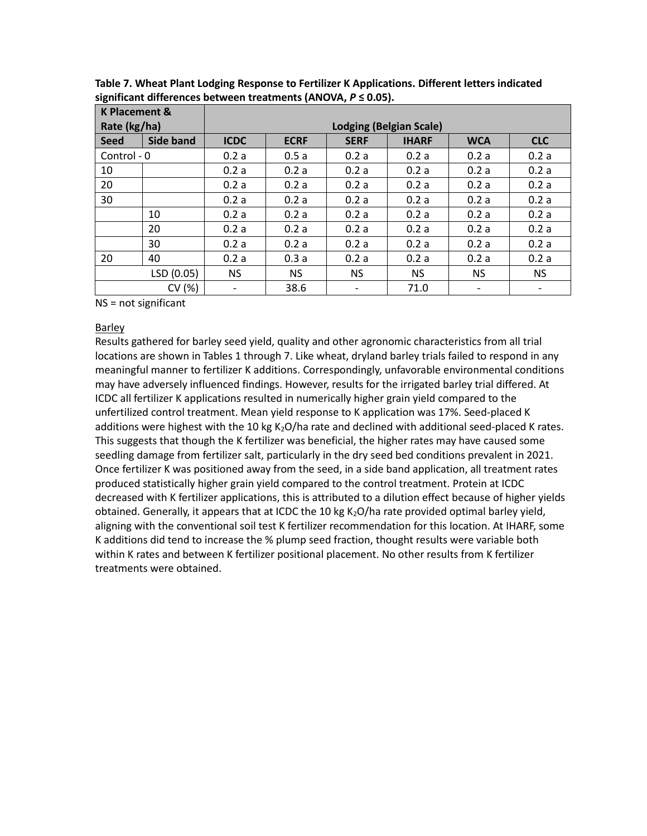| <b>K Placement &amp;</b> |                  |                                |             |             |              |            |            |  |  |
|--------------------------|------------------|--------------------------------|-------------|-------------|--------------|------------|------------|--|--|
| Rate (kg/ha)             |                  | <b>Lodging (Belgian Scale)</b> |             |             |              |            |            |  |  |
| <b>Seed</b>              | <b>Side band</b> | <b>ICDC</b>                    | <b>ECRF</b> | <b>SERF</b> | <b>IHARF</b> | <b>WCA</b> | <b>CLC</b> |  |  |
| Control - 0              |                  | 0.2a                           | 0.5a        | 0.2a        | 0.2a         | 0.2a       | 0.2a       |  |  |
| 10                       |                  | 0.2a                           | 0.2a        | 0.2a        | 0.2a         | 0.2a       | 0.2a       |  |  |
| 20                       |                  | 0.2a                           | 0.2a        | 0.2a        | 0.2a         | 0.2a       | 0.2a       |  |  |
| 30                       |                  | 0.2a                           | 0.2a        | 0.2a        | 0.2a         | 0.2a       | 0.2a       |  |  |
|                          | 10               | 0.2a                           | 0.2a        | 0.2a        | 0.2a         | 0.2a       | 0.2a       |  |  |
|                          | 20               | 0.2a                           | 0.2a        | 0.2a        | 0.2a         | 0.2a       | 0.2a       |  |  |
|                          | 30               | 0.2a                           | 0.2a        | 0.2a        | 0.2a         | 0.2a       | 0.2a       |  |  |
| 20                       | 40               | 0.2a                           | 0.3a        | 0.2a        | 0.2a         | 0.2a       | 0.2a       |  |  |
|                          | LSD (0.05)       | <b>NS</b>                      | NS.         | NS.         | NS.          | <b>NS</b>  | <b>NS</b>  |  |  |
|                          | CV (%)           | $\overline{\phantom{a}}$       | 38.6        |             | 71.0         |            | -          |  |  |

**Table 7. Wheat Plant Lodging Response to Fertilizer K Applications. Different letters indicated significant differences between treatments (ANOVA,** *P* **≤ 0.05).**

#### Barley

Results gathered for barley seed yield, quality and other agronomic characteristics from all trial locations are shown in Tables 1 through 7. Like wheat, dryland barley trials failed to respond in any meaningful manner to fertilizer K additions. Correspondingly, unfavorable environmental conditions may have adversely influenced findings. However, results for the irrigated barley trial differed. At ICDC all fertilizer K applications resulted in numerically higher grain yield compared to the unfertilized control treatment. Mean yield response to K application was 17%. Seed-placed K additions were highest with the 10 kg K<sub>2</sub>O/ha rate and declined with additional seed-placed K rates. This suggests that though the K fertilizer was beneficial, the higher rates may have caused some seedling damage from fertilizer salt, particularly in the dry seed bed conditions prevalent in 2021. Once fertilizer K was positioned away from the seed, in a side band application, all treatment rates produced statistically higher grain yield compared to the control treatment. Protein at ICDC decreased with K fertilizer applications, this is attributed to a dilution effect because of higher yields obtained. Generally, it appears that at ICDC the 10 kg  $K<sub>2</sub>O/h$  rate provided optimal barley yield, aligning with the conventional soil test K fertilizer recommendation for this location. At IHARF, some K additions did tend to increase the % plump seed fraction, thought results were variable both within K rates and between K fertilizer positional placement. No other results from K fertilizer treatments were obtained.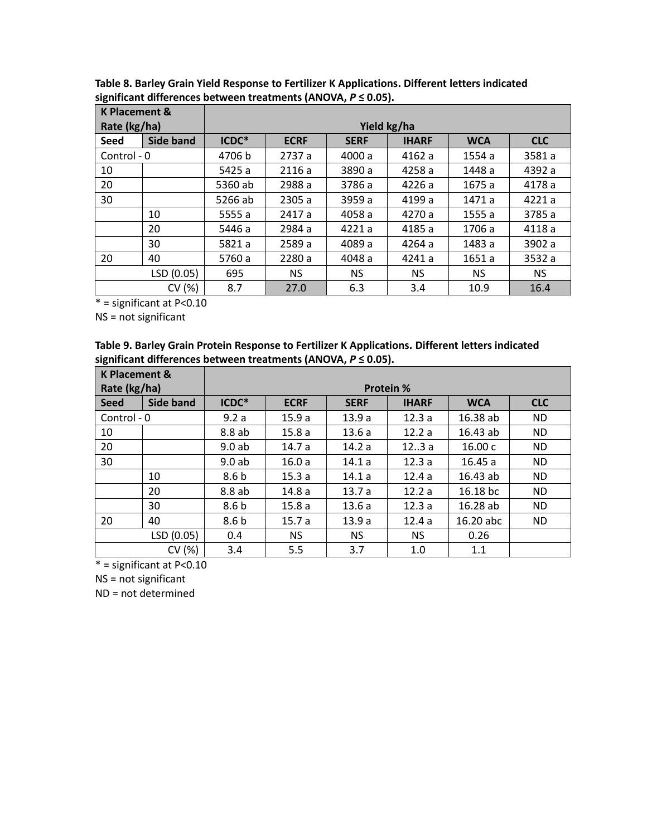| <b>K Placement &amp;</b> |                  |             |             |             |              |            |            |  |  |
|--------------------------|------------------|-------------|-------------|-------------|--------------|------------|------------|--|--|
| Rate (kg/ha)             |                  | Yield kg/ha |             |             |              |            |            |  |  |
| <b>Seed</b>              | <b>Side band</b> | ICDC*       | <b>ECRF</b> | <b>SERF</b> | <b>IHARF</b> | <b>WCA</b> | <b>CLC</b> |  |  |
| Control - 0              |                  | 4706 b      | 2737 a      | 4000 a      | 4162a        | 1554 a     | 3581 a     |  |  |
| 10                       |                  | 5425 a      | 2116a       | 3890 a      | 4258 a       | 1448 a     | 4392 a     |  |  |
| 20                       |                  | 5360 ab     | 2988 a      | 3786 a      | 4226a        | 1675 a     | 4178 a     |  |  |
| 30                       |                  | 5266 ab     | 2305 a      | 3959 a      | 4199 a       | 1471 a     | 4221a      |  |  |
|                          | 10               | 5555 a      | 2417 a      | 4058 a      | 4270 a       | 1555 a     | 3785 a     |  |  |
|                          | 20               | 5446 a      | 2984 a      | 4221a       | 4185 a       | 1706 a     | 4118 a     |  |  |
|                          | 30               | 5821 a      | 2589 a      | 4089 a      | 4264 a       | 1483 a     | 3902 a     |  |  |
| 20                       | 40               | 5760 a      | 2280 a      | 4048 a      | 4241 a       | 1651 a     | 3532 a     |  |  |
|                          | LSD (0.05)       | 695         | NS.         | NS.         | NS.          | NS.        | <b>NS</b>  |  |  |
|                          | CV (%)           | 8.7         | 27.0        | 6.3         | 3.4          | 10.9       | 16.4       |  |  |

**Table 8. Barley Grain Yield Response to Fertilizer K Applications. Different letters indicated significant differences between treatments (ANOVA,** *P* **≤ 0.05).**

 $* =$ significant at P<0.10

NS = not significant

| Table 9. Barley Grain Protein Response to Fertilizer K Applications. Different letters indicated |
|--------------------------------------------------------------------------------------------------|
| significant differences between treatments (ANOVA, $P \le 0.05$ ).                               |

| <b>K Placement &amp;</b> |            |                  |             |             |              |            |            |  |  |  |
|--------------------------|------------|------------------|-------------|-------------|--------------|------------|------------|--|--|--|
| Rate (kg/ha)             |            | <b>Protein %</b> |             |             |              |            |            |  |  |  |
| <b>Seed</b>              | Side band  | ICDC*            | <b>ECRF</b> | <b>SERF</b> | <b>IHARF</b> | <b>WCA</b> | <b>CLC</b> |  |  |  |
| Control - 0              |            | 9.2a             | 15.9a       | 13.9a       | 12.3a        | 16.38 ab   | <b>ND</b>  |  |  |  |
| 10                       |            | 8.8 ab           | 15.8a       | 13.6a       | 12.2a        | 16.43 ab   | <b>ND</b>  |  |  |  |
| 20                       |            | 9.0ab            | 14.7 a      | 14.2 a      | 123a         | 16.00c     | <b>ND</b>  |  |  |  |
| 30                       |            | 9.0ab            | 16.0a       | 14.1a       | 12.3a        | 16.45a     | <b>ND</b>  |  |  |  |
|                          | 10         | 8.6 <sub>b</sub> | 15.3a       | 14.1a       | 12.4a        | 16.43 ab   | <b>ND</b>  |  |  |  |
|                          | 20         | 8.8 ab           | 14.8a       | 13.7a       | 12.2a        | 16.18 bc   | <b>ND</b>  |  |  |  |
|                          | 30         | 8.6 <sub>b</sub> | 15.8a       | 13.6a       | 12.3a        | 16.28ab    | <b>ND</b>  |  |  |  |
| 20                       | 40         | 8.6 <sub>b</sub> | 15.7a       | 13.9a       | 12.4a        | 16.20 abc  | <b>ND</b>  |  |  |  |
|                          | LSD (0.05) | 0.4              | <b>NS</b>   | NS.         | NS.          | 0.26       |            |  |  |  |
|                          | CV(%)      | 3.4              | 5.5         | 3.7         | 1.0          | 1.1        |            |  |  |  |

 $* =$  significant at P<0.10

NS = not significant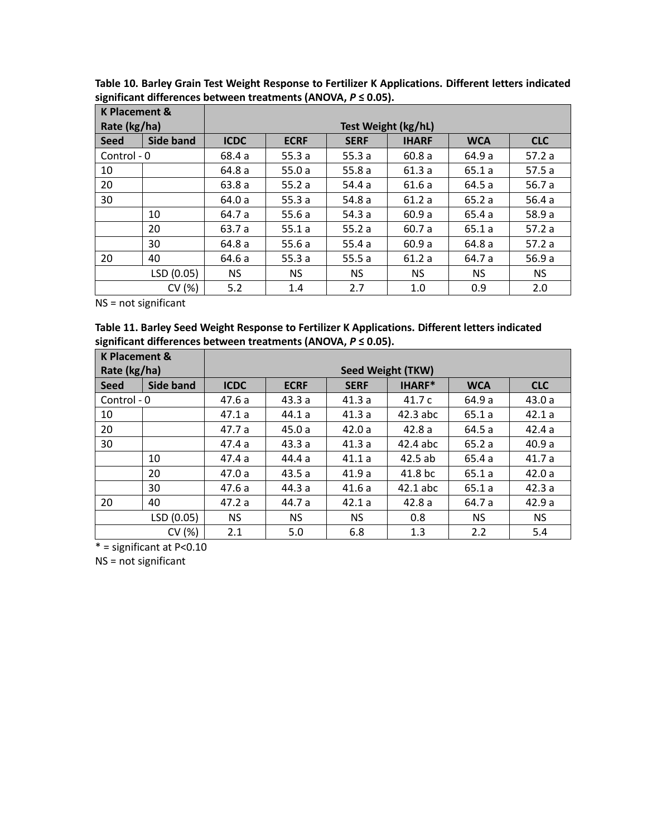| <b>K Placement &amp;</b> |                  |                     |             |             |              |            |            |  |  |
|--------------------------|------------------|---------------------|-------------|-------------|--------------|------------|------------|--|--|
| Rate (kg/ha)             |                  | Test Weight (kg/hL) |             |             |              |            |            |  |  |
| <b>Seed</b>              | <b>Side band</b> | <b>ICDC</b>         | <b>ECRF</b> | <b>SERF</b> | <b>IHARF</b> | <b>WCA</b> | <b>CLC</b> |  |  |
| Control - 0              |                  | 68.4 a              | 55.3a       | 55.3 $a$    | 60.8a        | 64.9 a     | 57.2a      |  |  |
| 10                       |                  | 64.8 a              | 55.0a       | 55.8a       | 61.3a        | 65.1 a     | 57.5a      |  |  |
| 20                       |                  | 63.8a               | 55.2a       | 54.4 a      | 61.6 a       | 64.5 a     | 56.7a      |  |  |
| 30                       |                  | 64.0 a              | 55.3a       | 54.8 a      | 61.2a        | 65.2a      | 56.4a      |  |  |
|                          | 10               | 64.7 a              | 55.6a       | 54.3 a      | 60.9a        | 65.4 a     | 58.9 a     |  |  |
|                          | 20               | 63.7 a              | 55.1a       | 55.2a       | 60.7 a       | 65.1a      | 57.2a      |  |  |
|                          | 30               | 64.8 a              | 55.6a       | 55.4a       | 60.9a        | 64.8 a     | 57.2a      |  |  |
| 20                       | 40               | 64.6 a              | 55.3a       | 55.5a       | 61.2a        | 64.7 a     | 56.9a      |  |  |
|                          | LSD (0.05)       | NS.                 | <b>NS</b>   | NS.         | NS.          | NS.        | <b>NS</b>  |  |  |
|                          | CV (%)           | 5.2                 | 1.4         | 2.7         | 1.0          | 0.9        | 2.0        |  |  |

**Table 10. Barley Grain Test Weight Response to Fertilizer K Applications. Different letters indicated significant differences between treatments (ANOVA,** *P* **≤ 0.05).**

**Table 11. Barley Seed Weight Response to Fertilizer K Applications. Different letters indicated significant differences between treatments (ANOVA,** *P* **≤ 0.05).**

| <b>K Placement &amp;</b> |                  |                   |             |             |            |            |            |  |  |
|--------------------------|------------------|-------------------|-------------|-------------|------------|------------|------------|--|--|
| Rate (kg/ha)             |                  | Seed Weight (TKW) |             |             |            |            |            |  |  |
| <b>Seed</b>              | <b>Side band</b> | <b>ICDC</b>       | <b>ECRF</b> | <b>SERF</b> | IHARF*     | <b>WCA</b> | <b>CLC</b> |  |  |
| Control - 0              |                  | 47.6 a            | 43.3a       | 41.3a       | 41.7 c     | 64.9 a     | 43.0a      |  |  |
| 10                       |                  | 47.1a             | 44.1 a      | 41.3a       | $42.3$ abc | 65.1a      | 42.1a      |  |  |
| 20                       |                  | 47.7 a            | 45.0a       | 42.0a       | 42.8a      | 64.5 a     | 42.4a      |  |  |
| 30                       |                  | 47.4 a            | 43.3a       | 41.3a       | 42.4 abc   | 65.2a      | 40.9a      |  |  |
|                          | 10               | 47.4 a            | 44.4 a      | 41.1a       | 42.5ab     | 65.4a      | 41.7a      |  |  |
|                          | 20               | 47.0a             | 43.5a       | 41.9a       | 41.8 bc    | 65.1a      | 42.0a      |  |  |
|                          | 30               | 47.6a             | 44.3 a      | 41.6a       | $42.1$ abc | 65.1a      | 42.3a      |  |  |
| 20                       | 40               | 47.2a             | 44.7 a      | 42.1a       | 42.8a      | 64.7 a     | 42.9a      |  |  |
|                          | LSD (0.05)       | <b>NS</b>         | <b>NS</b>   | <b>NS</b>   | 0.8        | <b>NS</b>  | <b>NS</b>  |  |  |
|                          | CV (%)           | 2.1               | 5.0         | 6.8         | 1.3        | 2.2        | 5.4        |  |  |

 $* =$  significant at P<0.10

NS = not significant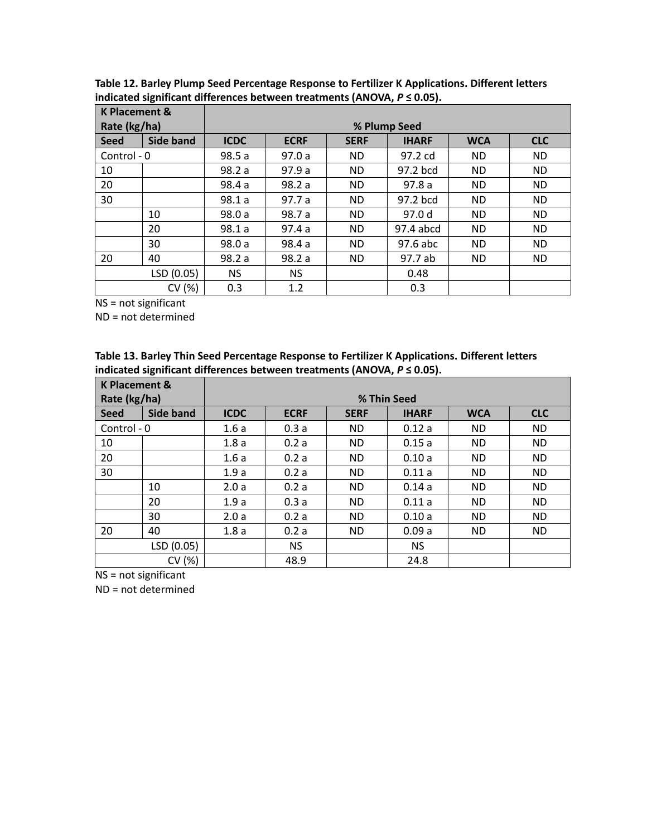| <b>K Placement &amp;</b> |                  |              |             |             |              |            |            |  |  |
|--------------------------|------------------|--------------|-------------|-------------|--------------|------------|------------|--|--|
| Rate (kg/ha)             |                  | % Plump Seed |             |             |              |            |            |  |  |
| <b>Seed</b>              | <b>Side band</b> | <b>ICDC</b>  | <b>ECRF</b> | <b>SERF</b> | <b>IHARF</b> | <b>WCA</b> | <b>CLC</b> |  |  |
| Control - 0              |                  | 98.5a        | 97.0a       | ND.         | 97.2 cd      | ND.        | ND.        |  |  |
| 10                       |                  | 98.2 a       | 97.9 a      | ND.         | 97.2 bcd     | ND.        | ND.        |  |  |
| 20                       |                  | 98.4 a       | 98.2a       | <b>ND</b>   | 97.8a        | <b>ND</b>  | ND.        |  |  |
| 30                       |                  | 98.1a        | 97.7a       | <b>ND</b>   | 97.2 bcd     | <b>ND</b>  | ND.        |  |  |
|                          | 10               | 98.0 a       | 98.7 a      | <b>ND</b>   | 97.0 d       | <b>ND</b>  | ND.        |  |  |
|                          | 20               | 98.1a        | 97.4a       | <b>ND</b>   | 97.4 abcd    | <b>ND</b>  | ND.        |  |  |
|                          | 30               | 98.0 a       | 98.4 a      | <b>ND</b>   | 97.6 abc     | <b>ND</b>  | ND.        |  |  |
| 20                       | 40               | 98.2 a       | 98.2a       | ND.         | 97.7 ab      | ND.        | ND.        |  |  |
|                          | LSD (0.05)       | NS.          | <b>NS</b>   |             | 0.48         |            |            |  |  |
|                          | CV (%)           | 0.3          | 1.2         |             | 0.3          |            |            |  |  |

**Table 12. Barley Plump Seed Percentage Response to Fertilizer K Applications. Different letters indicated significant differences between treatments (ANOVA,** *P* **≤ 0.05).**

ND = not determined

| Table 13. Barley Thin Seed Percentage Response to Fertilizer K Applications. Different letters |
|------------------------------------------------------------------------------------------------|
| indicated significant differences between treatments (ANOVA, $P \le 0.05$ ).                   |

| <b>K Placement &amp;</b> |                  |             |                                                                        |           |           |           |           |  |  |  |
|--------------------------|------------------|-------------|------------------------------------------------------------------------|-----------|-----------|-----------|-----------|--|--|--|
| Rate (kg/ha)             |                  | % Thin Seed |                                                                        |           |           |           |           |  |  |  |
| <b>Seed</b>              | <b>Side band</b> | <b>ICDC</b> | <b>CLC</b><br><b>ECRF</b><br><b>WCA</b><br><b>SERF</b><br><b>IHARF</b> |           |           |           |           |  |  |  |
| Control - 0              |                  | 1.6a        | 0.3a                                                                   | <b>ND</b> | 0.12a     | <b>ND</b> | <b>ND</b> |  |  |  |
| 10                       |                  | 1.8a        | 0.2a                                                                   | <b>ND</b> | 0.15a     | <b>ND</b> | <b>ND</b> |  |  |  |
| 20                       |                  | 1.6a        | 0.2a                                                                   | <b>ND</b> | 0.10a     | <b>ND</b> | <b>ND</b> |  |  |  |
| 30                       |                  | 1.9a        | 0.2a                                                                   | ND.       | 0.11a     | <b>ND</b> | <b>ND</b> |  |  |  |
|                          | 10               | 2.0a        | 0.2a                                                                   | <b>ND</b> | 0.14a     | <b>ND</b> | <b>ND</b> |  |  |  |
|                          | 20               | 1.9a        | 0.3a                                                                   | <b>ND</b> | 0.11a     | <b>ND</b> | <b>ND</b> |  |  |  |
|                          | 30               | 2.0a        | 0.2a                                                                   | <b>ND</b> | 0.10a     | <b>ND</b> | <b>ND</b> |  |  |  |
| 20                       | 40               | 1.8a        | 0.2a                                                                   | <b>ND</b> | 0.09a     | <b>ND</b> | <b>ND</b> |  |  |  |
|                          | LSD (0.05)       |             | <b>NS</b>                                                              |           | <b>NS</b> |           |           |  |  |  |
|                          | CV (%)           |             | 48.9                                                                   |           | 24.8      |           |           |  |  |  |

NS = not significant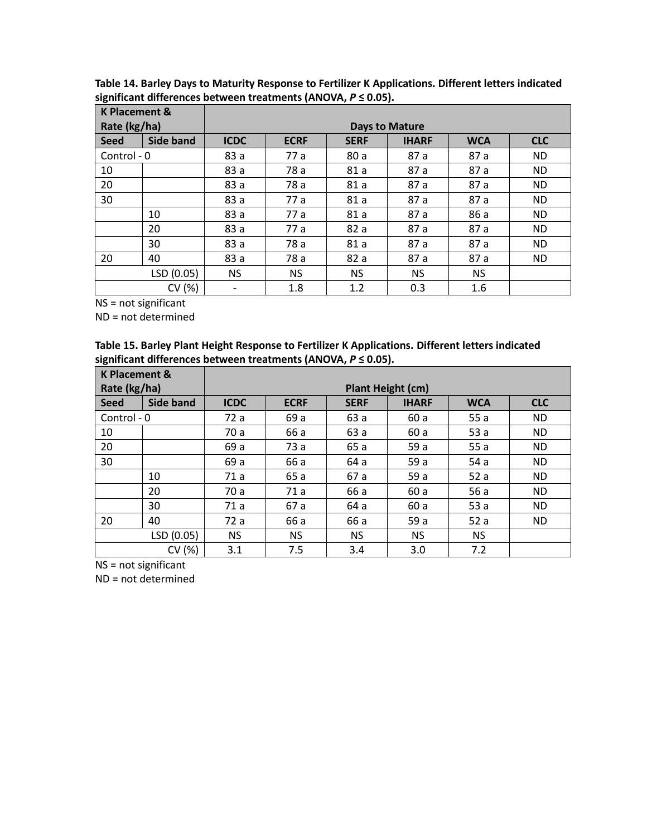| <b>K Placement &amp;</b> |                  |                       |             |             |              |            |            |  |  |
|--------------------------|------------------|-----------------------|-------------|-------------|--------------|------------|------------|--|--|
| Rate (kg/ha)             |                  | <b>Days to Mature</b> |             |             |              |            |            |  |  |
| <b>Seed</b>              | <b>Side band</b> | <b>ICDC</b>           | <b>ECRF</b> | <b>SERF</b> | <b>IHARF</b> | <b>WCA</b> | <b>CLC</b> |  |  |
| Control - 0              |                  | 83 a                  | 77 a        | 80 a        | 87 a         | 87 a       | <b>ND</b>  |  |  |
| 10                       |                  | 83 a                  | 78 a        | 81a         | 87 a         | 87 a       | <b>ND</b>  |  |  |
| 20                       |                  | 83 a                  | 78 a        | 81a         | 87 a         | 87 a       | <b>ND</b>  |  |  |
| 30                       |                  | 83 a                  | 77 a        | 81a         | 87 a         | 87 a       | ND.        |  |  |
|                          | 10               | 83 a                  | 77 a        | 81a         | 87 a         | 86 a       | <b>ND</b>  |  |  |
|                          | 20               | 83 a                  | 77 a        | 82a         | 87 a         | 87 a       | <b>ND</b>  |  |  |
|                          | 30               | 83 a                  | 78 a        | 81a         | 87 a         | 87 a       | <b>ND</b>  |  |  |
| 20                       | 40               | 83 a                  | 78 a        | 82a         | 87 a         | 87 a       | <b>ND</b>  |  |  |
|                          | LSD (0.05)       | <b>NS</b>             | NS.         | <b>NS</b>   | <b>NS</b>    | <b>NS</b>  |            |  |  |
|                          | CV (%)           | -                     | 1.8         | 1.2         | 0.3          | 1.6        |            |  |  |

**Table 14. Barley Days to Maturity Response to Fertilizer K Applications. Different letters indicated significant differences between treatments (ANOVA,** *P* **≤ 0.05).**

ND = not determined

| Table 15. Barley Plant Height Response to Fertilizer K Applications. Different letters indicated |
|--------------------------------------------------------------------------------------------------|
| significant differences between treatments (ANOVA, $P \le 0.05$ ).                               |

| <b>K Placement &amp;</b> |                  |                          |             |             |              |            |            |  |  |  |
|--------------------------|------------------|--------------------------|-------------|-------------|--------------|------------|------------|--|--|--|
| Rate (kg/ha)             |                  | <b>Plant Height (cm)</b> |             |             |              |            |            |  |  |  |
| <b>Seed</b>              | <b>Side band</b> | <b>ICDC</b>              | <b>ECRF</b> | <b>SERF</b> | <b>IHARF</b> | <b>WCA</b> | <b>CLC</b> |  |  |  |
| Control - 0              |                  | 72 a                     | 69 a        | 63 a        | 60 a         | 55a        | <b>ND</b>  |  |  |  |
| 10                       |                  | 70 a                     | 66 a        | 63 a        | 60 a         | 53a        | <b>ND</b>  |  |  |  |
| 20                       |                  | 69 a                     | 73 a        | 65 a        | 59 a         | 55a        | <b>ND</b>  |  |  |  |
| 30                       |                  | 69 a                     | 66 a        | 64 a        | 59 a         | 54 a       | <b>ND</b>  |  |  |  |
|                          | 10               | 71 a                     | 65 a        | 67 a        | 59 a         | 52a        | <b>ND</b>  |  |  |  |
|                          | 20               | 70 a                     | 71 a        | 66 a        | 60 a         | 56 a       | <b>ND</b>  |  |  |  |
|                          | 30               | 71 a                     | 67 a        | 64 a        | 60 a         | 53a        | <b>ND</b>  |  |  |  |
| 20                       | 40               | 72 a                     | 66 a        | 66 a        | 59 a         | 52a        | <b>ND</b>  |  |  |  |
|                          | LSD (0.05)       | <b>NS</b>                | <b>NS</b>   | <b>NS</b>   | <b>NS</b>    | <b>NS</b>  |            |  |  |  |
|                          | CV (%)           | 3.1                      | 7.5         | 3.4         | 3.0          | 7.2        |            |  |  |  |

NS = not significant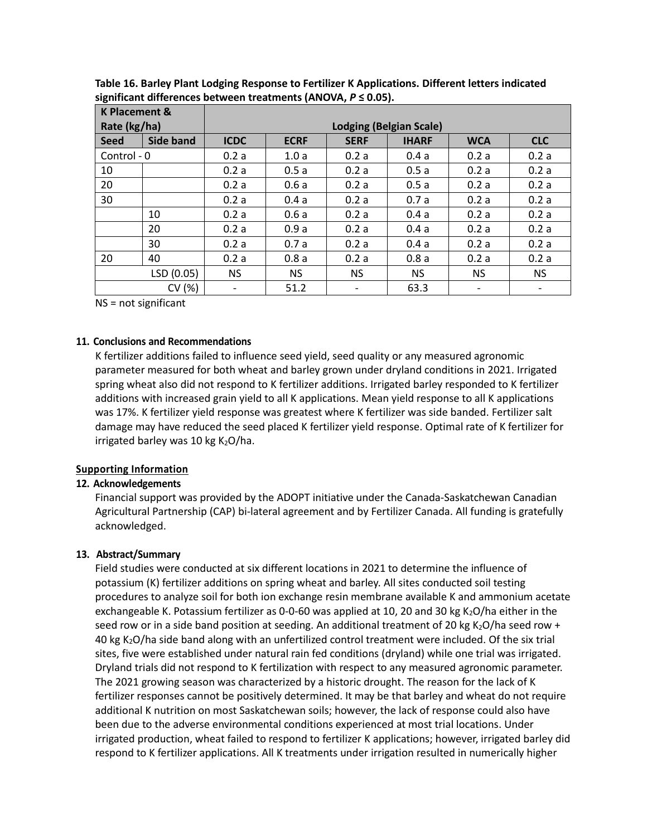| <b>K Placement &amp;</b> |                  |                                |             |             |              |            |            |
|--------------------------|------------------|--------------------------------|-------------|-------------|--------------|------------|------------|
| Rate (kg/ha)             |                  | <b>Lodging (Belgian Scale)</b> |             |             |              |            |            |
| <b>Seed</b>              | <b>Side band</b> | <b>ICDC</b>                    | <b>ECRF</b> | <b>SERF</b> | <b>IHARF</b> | <b>WCA</b> | <b>CLC</b> |
| Control - 0              |                  | 0.2a                           | 1.0a        | 0.2a        | 0.4a         | 0.2a       | 0.2a       |
| 10                       |                  | 0.2a                           | 0.5a        | 0.2a        | 0.5a         | 0.2a       | 0.2a       |
| 20                       |                  | 0.2a                           | 0.6a        | 0.2a        | 0.5a         | 0.2a       | 0.2a       |
| 30                       |                  | 0.2a                           | 0.4a        | 0.2a        | 0.7a         | 0.2a       | 0.2a       |
|                          | 10               | 0.2a                           | 0.6a        | 0.2a        | 0.4a         | 0.2a       | 0.2a       |
|                          | 20               | 0.2a                           | 0.9a        | 0.2a        | 0.4a         | 0.2a       | 0.2a       |
|                          | 30               | 0.2a                           | 0.7a        | 0.2a        | 0.4a         | 0.2a       | 0.2a       |
| 20                       | 40               | 0.2a                           | 0.8a        | 0.2a        | 0.8a         | 0.2a       | 0.2a       |
|                          | LSD (0.05)       | <b>NS</b>                      | NS.         | <b>NS</b>   | <b>NS</b>    | <b>NS</b>  | <b>NS</b>  |
|                          | CV (%)           |                                | 51.2        |             | 63.3         |            |            |

**Table 16. Barley Plant Lodging Response to Fertilizer K Applications. Different letters indicated significant differences between treatments (ANOVA,** *P* **≤ 0.05).**

#### **11. Conclusions and Recommendations**

K fertilizer additions failed to influence seed yield, seed quality or any measured agronomic parameter measured for both wheat and barley grown under dryland conditions in 2021. Irrigated spring wheat also did not respond to K fertilizer additions. Irrigated barley responded to K fertilizer additions with increased grain yield to all K applications. Mean yield response to all K applications was 17%. K fertilizer yield response was greatest where K fertilizer was side banded. Fertilizer salt damage may have reduced the seed placed K fertilizer yield response. Optimal rate of K fertilizer for irrigated barley was 10 kg  $K<sub>2</sub>O/ha$ .

# **Supporting Information**

# **12. Acknowledgements**

Financial support was provided by the ADOPT initiative under the Canada-Saskatchewan Canadian Agricultural Partnership (CAP) bi-lateral agreement and by Fertilizer Canada. All funding is gratefully acknowledged.

# **13. Abstract/Summary**

Field studies were conducted at six different locations in 2021 to determine the influence of potassium (K) fertilizer additions on spring wheat and barley. All sites conducted soil testing procedures to analyze soil for both ion exchange resin membrane available K and ammonium acetate exchangeable K. Potassium fertilizer as 0-0-60 was applied at 10, 20 and 30 kg K<sub>2</sub>O/ha either in the seed row or in a side band position at seeding. An additional treatment of 20 kg K<sub>2</sub>O/ha seed row + 40 kg K2O/ha side band along with an unfertilized control treatment were included. Of the six trial sites, five were established under natural rain fed conditions (dryland) while one trial was irrigated. Dryland trials did not respond to K fertilization with respect to any measured agronomic parameter. The 2021 growing season was characterized by a historic drought. The reason for the lack of K fertilizer responses cannot be positively determined. It may be that barley and wheat do not require additional K nutrition on most Saskatchewan soils; however, the lack of response could also have been due to the adverse environmental conditions experienced at most trial locations. Under irrigated production, wheat failed to respond to fertilizer K applications; however, irrigated barley did respond to K fertilizer applications. All K treatments under irrigation resulted in numerically higher